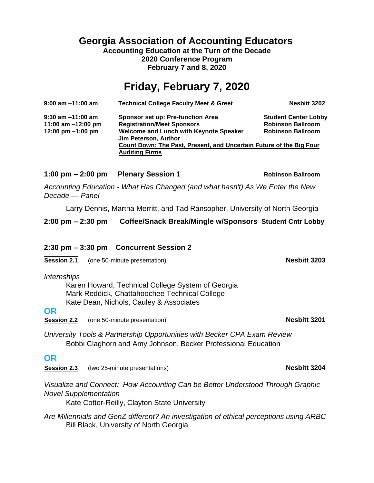**Georgia Association of Accounting Educators Accounting Education at the Turn of the Decade**

**2020 Conference Program February 7 and 8, 2020**

## **Friday, February 7, 2020**

| 9:00 am -11:00 am   | <b>Technical College Faculty Meet &amp; Greet</b>                     | <b>Nesbitt 3202</b>         |
|---------------------|-----------------------------------------------------------------------|-----------------------------|
| 9:30 am -11:00 am   | Sponsor set up: Pre-function Area                                     | <b>Student Center Lobby</b> |
| 11:00 am -12:00 pm  | <b>Registration/Meet Sponsors</b>                                     | <b>Robinson Ballroom</b>    |
| 12:00 pm $-1:00$ pm | <b>Welcome and Lunch with Keynote Speaker</b><br>Jim Peterson, Author | <b>Robinson Ballroom</b>    |
|                     | Count Down: The Past, Present, and Uncertain Future of the Big Four   |                             |
|                     | <b>Auditing Firms</b>                                                 |                             |

#### **1:00 pm – 2:00 pm Plenary Session 1 Robinson Ballroom**

*Accounting Education - What Has Changed (and what hasn't) As We Enter the New Decade — Panel*

Larry Dennis, Martha Merritt, and Tad Ransopher, University of North Georgia

**2:00 pm – 2:30 pm Coffee/Snack Break/Mingle w/Sponsors Student Cntr Lobby**

#### **2:30 pm – 3:30 pm Concurrent Session 2**

**Session 2.1** (one 50-minute presentation) **Nesbitt 3203**

*Internships*

Karen Howard, Technical College System of Georgia Mark Reddick, Chattahoochee Technical College Kate Dean, Nichols, Cauley & Associates

#### **OR**

**Session 2.2** (one 50-minute presentation) **Nesbitt 3201** 

*University Tools & Partnership Opportunities with Becker CPA Exam Review* Bobbi Claghorn and Amy Johnson, Becker Professional Education

#### **OR**

**Session 2.3** (two 25-minute presentations) **Nesbitt 3204**

*Visualize and Connect: How Accounting Can be Better Understood Through Graphic Novel Supplementation*

Kate Cotter-Reilly, Clayton State University

*Are Millennials and GenZ different? An investigation of ethical perceptions using ARBC* Bill Black, University of North Georgia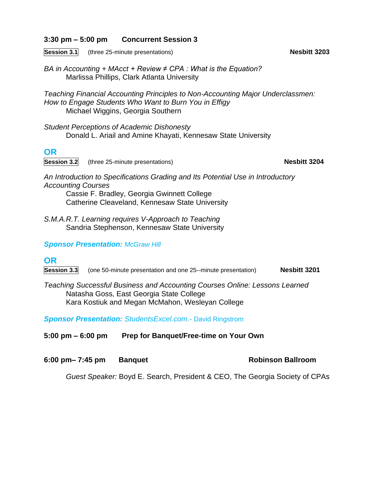#### **3:30 pm – 5:00 pm Concurrent Session 3**

**Session 3.1** (three 25-minute presentations) **Nesbitt 3203**

*BA in Accounting + MAcct + Review ≠ CPA : What is the Equation?* Marlissa Phillips, Clark Atlanta University

*Teaching Financial Accounting Principles to Non-Accounting Major Underclassmen: How to Engage Students Who Want to Burn You in Effigy* Michael Wiggins, Georgia Southern

*Student Perceptions of Academic Dishonesty* Donald L. Ariail and Amine Khayati, Kennesaw State University

### **OR**

**Session 3.2** (three 25-minute presentations) **Nesbitt 3204**

*An Introduction to Specifications Grading and Its Potential Use in Introductory Accounting Courses*

Cassie F. Bradley, Georgia Gwinnett College Catherine Cleaveland, Kennesaw State University

*S.M.A.R.T. Learning requires V-Approach to Teaching* Sandria Stephenson, Kennesaw State University

*Sponsor Presentation: McGraw Hill*

### **OR**

**Session 3.3** (one 50-minute presentation and one 25--minute presentation) **Nesbitt 3201**

*Teaching Successful Business and Accounting Courses Online: Lessons Learned* Natasha Goss, East Georgia State College Kara Kostiuk and Megan McMahon, Wesleyan College

*Sponsor Presentation: StudentsExcel.com.-* David Ringstrom

**5:00 pm – 6:00 pm Prep for Banquet/Free-time on Your Own**

**6:00 pm– 7:45 pm Banquet Robinson Ballroom**

*Guest Speaker:* Boyd E. Search, President & CEO, The Georgia Society of CPAs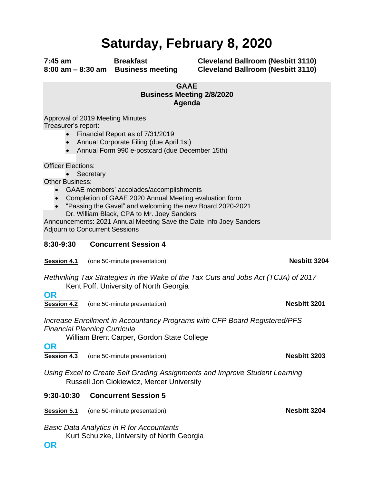# **Saturday, February 8, 2020**

**7:45 am Breakfast Cleveland Ballroom (Nesbitt 3110) 8:00 am – 8:30 am Business meeting Cleveland Ballroom (Nesbitt 3110)**

#### **GAAE Business Meeting 2/8/2020 Agenda**

Approval of 2019 Meeting Minutes Treasurer's report:

- Financial Report as of 7/31/2019
- Annual Corporate Filing (due April 1st)
- Annual Form 990 e-postcard (due December 15th)

Officer Elections:

• Secretary

Other Business:

- GAAE members' accolades/accomplishments
- Completion of GAAE 2020 Annual Meeting evaluation form
- "Passing the Gavel" and welcoming the new Board 2020-2021 Dr. William Black, CPA to Mr. Joey Sanders

Announcements: 2021 Annual Meeting Save the Date Info Joey Sanders Adjourn to Concurrent Sessions

#### **8:30-9:30 Concurrent Session 4**

**Session 4.1** (one 50-minute presentation) **Nesbitt 3204** 

*Rethinking Tax Strategies in the Wake of the Tax Cuts and Jobs Act (TCJA) of 2017* Kent Poff, University of North Georgia

**OR Session 4.2** (one 50-minute presentation) **Nesbitt 3201**

*Increase Enrollment in Accountancy Programs with CFP Board Registered/PFS Financial Planning Curricula*

William Brent Carper, Gordon State College

**OR**

**Session 4.3** (one 50-minute presentation) **Nesbitt 3203**

*Using Excel to Create Self Grading Assignments and Improve Student Learning* Russell Jon Ciokiewicz, Mercer University

#### **9:30-10:30 Concurrent Session 5**

**Session 5.1** (one 50-minute presentation) **Nesbitt 3204** 

*Basic Data Analytics in R for Accountants*

Kurt Schulzke, University of North Georgia